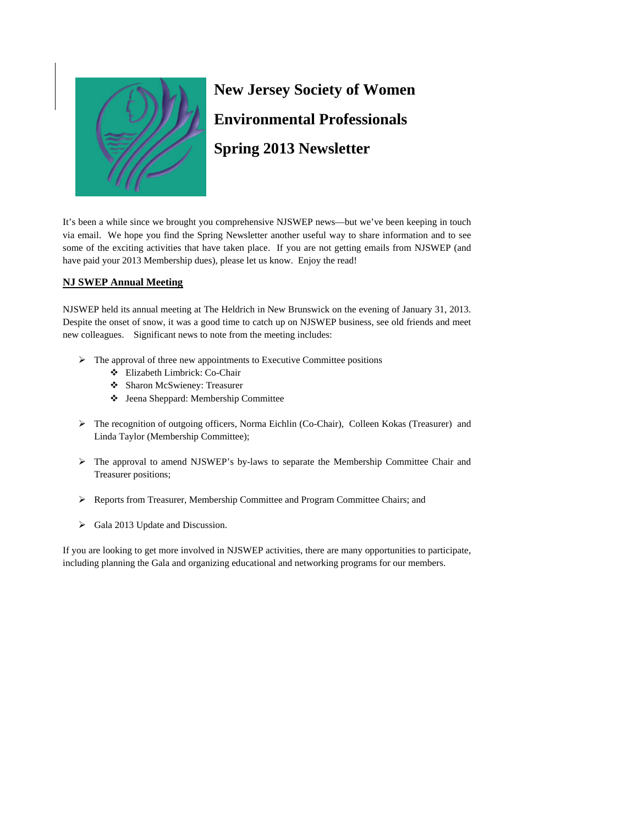

# **New Jersey Society of Women Environmental Professionals Spring 2013 Newsletter**

It's been a while since we brought you comprehensive NJSWEP news—but we've been keeping in touch via email. We hope you find the Spring Newsletter another useful way to share information and to see some of the exciting activities that have taken place. If you are not getting emails from NJSWEP (and have paid your 2013 Membership dues), please let us know. Enjoy the read!

### **NJ SWEP Annual Meeting**

NJSWEP held its annual meeting at The Heldrich in New Brunswick on the evening of January 31, 2013. Despite the onset of snow, it was a good time to catch up on NJSWEP business, see old friends and meet new colleagues. Significant news to note from the meeting includes:

- $\triangleright$  The approval of three new appointments to Executive Committee positions
	- Elizabeth Limbrick: Co-Chair
	- Sharon McSwieney: Treasurer
	- Jeena Sheppard: Membership Committee
- ¾ The recognition of outgoing officers, Norma Eichlin (Co-Chair), Colleen Kokas (Treasurer) and Linda Taylor (Membership Committee);
- $\triangleright$  The approval to amend NJSWEP's by-laws to separate the Membership Committee Chair and Treasurer positions;
- ¾ Reports from Treasurer, Membership Committee and Program Committee Chairs; and
- $\triangleright$  Gala 2013 Update and Discussion.

If you are looking to get more involved in NJSWEP activities, there are many opportunities to participate, including planning the Gala and organizing educational and networking programs for our members.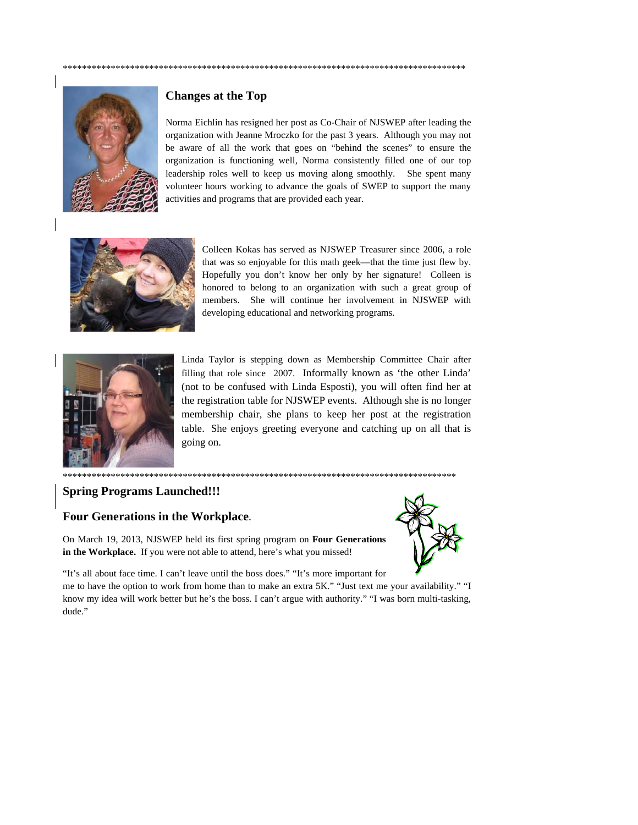

# **Changes at the Top**

Norma Eichlin has resigned her post as Co-Chair of NJSWEP after leading the organization with Jeanne Mroczko for the past 3 years. Although you may not be aware of all the work that goes on "behind the scenes" to ensure the organization is functioning well, Norma consistently filled one of our top leadership roles well to keep us moving along smoothly. She spent many volunteer hours working to advance the goals of SWEP to support the many activities and programs that are provided each year.



Colleen Kokas has served as NJSWEP Treasurer since 2006, a role that was so enjoyable for this math geek—that the time just flew by. Hopefully you don't know her only by her signature! Colleen is honored to belong to an organization with such a great group of members. She will continue her involvement in NJSWEP with developing educational and networking programs.



Linda Taylor is stepping down as Membership Committee Chair after filling that role since 2007. Informally known as 'the other Linda' (not to be confused with Linda Esposti), you will often find her at the registration table for NJSWEP events. Although she is no longer membership chair, she plans to keep her post at the registration table. She enjoys greeting everyone and catching up on all that is going on.

# **Spring Programs Launched!!!**

# Four Generations in the Workplace.

On March 19, 2013, NJSWEP held its first spring program on Four Generations in the Workplace. If you were not able to attend, here's what you missed!



"It's all about face time. I can't leave until the boss does." "It's more important for me to have the option to work from home than to make an extra 5K." "Just text me your availability." "I know my idea will work better but he's the boss. I can't argue with authority." "I was born multi-tasking, dude."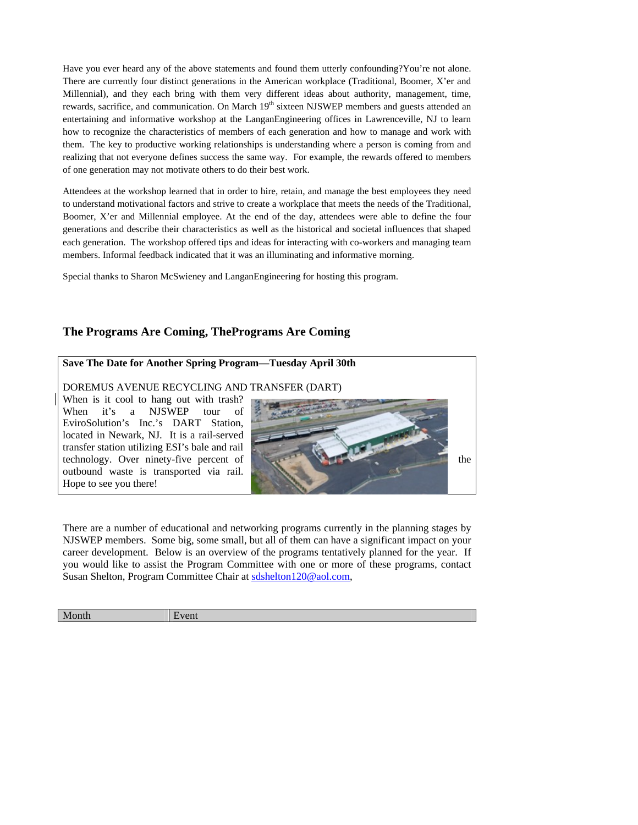Have you ever heard any of the above statements and found them utterly confounding?You're not alone. There are currently four distinct generations in the American workplace (Traditional, Boomer, X'er and Millennial), and they each bring with them very different ideas about authority, management, time, rewards, sacrifice, and communication. On March 19<sup>th</sup> sixteen NJSWEP members and guests attended an entertaining and informative workshop at the LanganEngineering offices in Lawrenceville, NJ to learn how to recognize the characteristics of members of each generation and how to manage and work with them. The key to productive working relationships is understanding where a person is coming from and realizing that not everyone defines success the same way. For example, the rewards offered to members of one generation may not motivate others to do their best work.

Attendees at the workshop learned that in order to hire, retain, and manage the best employees they need to understand motivational factors and strive to create a workplace that meets the needs of the Traditional, Boomer, X'er and Millennial employee. At the end of the day, attendees were able to define the four generations and describe their characteristics as well as the historical and societal influences that shaped each generation. The workshop offered tips and ideas for interacting with co-workers and managing team members. Informal feedback indicated that it was an illuminating and informative morning.

Special thanks to Sharon McSwieney and LanganEngineering for hosting this program.

# **The Programs Are Coming, ThePrograms Are Coming**

## **Save The Date for Another Spring Program—Tuesday April 30th**

DOREMUS AVENUE RECYCLING AND TRANSFER (DART)

When is it cool to hang out with trash? When it's a NJSWEP tour of EviroSolution's Inc.'s DART Station, located in Newark, NJ. It is a rail-served transfer station utilizing ESI's bale and rail outbound waste is transported via rail. Hope to see you there!



There are a number of educational and networking programs currently in the planning stages by NJSWEP members. Some big, some small, but all of them can have a significant impact on your career development. Below is an overview of the programs tentatively planned for the year. If you would like to assist the Program Committee with one or more of these programs, contact Susan Shelton, Program Committee Chair at sdshelton120@aol.com,

| Month | ------<br>vent |
|-------|----------------|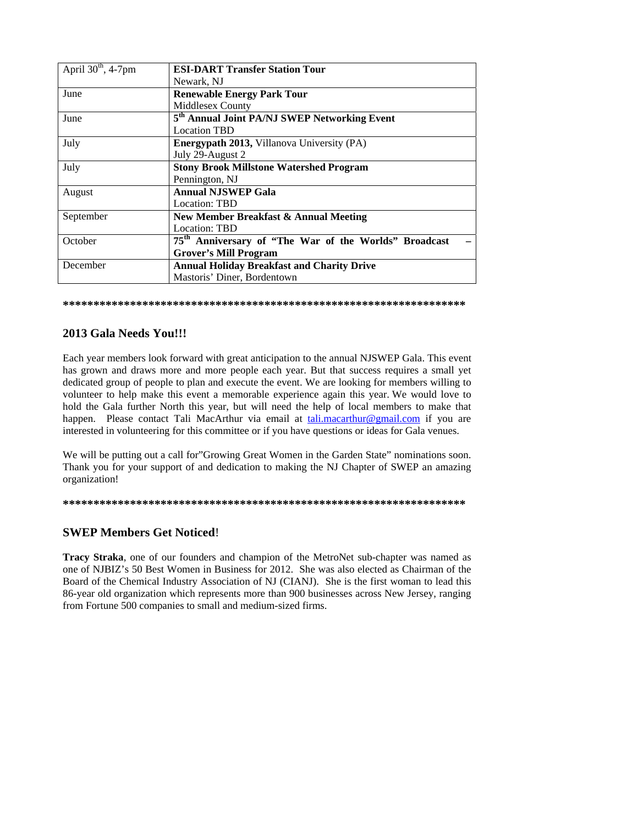| April $30th$ , 4-7pm | <b>ESI-DART Transfer Station Tour</b>                             |
|----------------------|-------------------------------------------------------------------|
|                      | Newark, NJ                                                        |
| June                 | <b>Renewable Energy Park Tour</b>                                 |
|                      | <b>Middlesex County</b>                                           |
| June                 | 5 <sup>th</sup> Annual Joint PA/NJ SWEP Networking Event          |
|                      | <b>Location TBD</b>                                               |
| July                 | <b>Energypath 2013, Villanova University (PA)</b>                 |
|                      | July 29-August 2                                                  |
| July                 | <b>Stony Brook Millstone Watershed Program</b>                    |
|                      | Pennington, NJ                                                    |
| August               | <b>Annual NJSWEP Gala</b>                                         |
|                      | Location: TBD                                                     |
| September            | <b>New Member Breakfast &amp; Annual Meeting</b>                  |
|                      | Location: TBD                                                     |
| October              | 75 <sup>th</sup> Anniversary of "The War of the Worlds" Broadcast |
|                      | <b>Grover's Mill Program</b>                                      |
| December             | <b>Annual Holiday Breakfast and Charity Drive</b>                 |
|                      | Mastoris' Diner, Bordentown                                       |

#### **\*\*\*\*\*\*\*\*\*\*\*\*\*\*\*\*\*\*\*\*\*\*\*\*\*\*\*\*\*\*\*\*\*\*\*\*\*\*\*\*\*\*\*\*\*\*\*\*\*\*\*\*\*\*\*\*\*\*\*\*\*\*\*\*\*\***

### **2013 Gala Needs You!!!**

Each year members look forward with great anticipation to the annual NJSWEP Gala. This event has grown and draws more and more people each year. But that success requires a small yet dedicated group of people to plan and execute the event. We are looking for members willing to volunteer to help make this event a memorable experience again this year. We would love to hold the Gala further North this year, but will need the help of local members to make that happen. Please contact Tali MacArthur via email at tali.macarthur@gmail.com if you are interested in volunteering for this committee or if you have questions or ideas for Gala venues.

We will be putting out a call for"Growing Great Women in the Garden State" nominations soon. Thank you for your support of and dedication to making the NJ Chapter of SWEP an amazing organization!

#### **\*\*\*\*\*\*\*\*\*\*\*\*\*\*\*\*\*\*\*\*\*\*\*\*\*\*\*\*\*\*\*\*\*\*\*\*\*\*\*\*\*\*\*\*\*\*\*\*\*\*\*\*\*\*\*\*\*\*\*\*\*\*\*\*\*\***

# **SWEP Members Get Noticed**!

**Tracy Straka**, one of our founders and champion of the MetroNet sub-chapter was named as one of NJBIZ's 50 Best Women in Business for 2012. She was also elected as Chairman of the Board of the Chemical Industry Association of NJ (CIANJ). She is the first woman to lead this 86-year old organization which represents more than 900 businesses across New Jersey, ranging from Fortune 500 companies to small and medium-sized firms.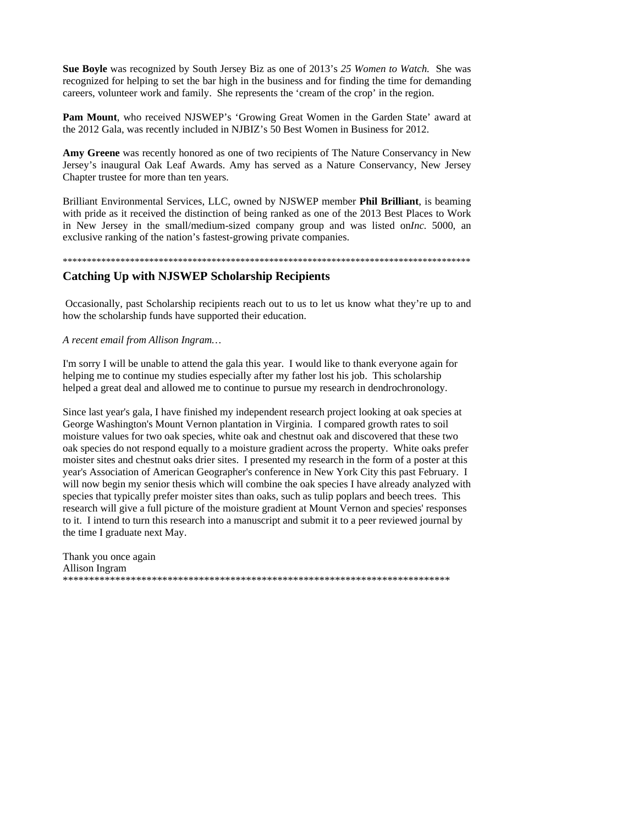**Sue Boyle** was recognized by South Jersey Biz as one of 2013's *25 Women to Watch.* She was recognized for helping to set the bar high in the business and for finding the time for demanding careers, volunteer work and family. She represents the 'cream of the crop' in the region.

**Pam Mount**, who received NJSWEP's 'Growing Great Women in the Garden State' award at the 2012 Gala, was recently included in NJBIZ's 50 Best Women in Business for 2012.

**Amy Greene** was recently honored as one of two recipients of The Nature Conservancy in New Jersey's inaugural Oak Leaf Awards. Amy has served as a Nature Conservancy, New Jersey Chapter trustee for more than ten years.

Brilliant Environmental Services, LLC, owned by NJSWEP member **Phil Brilliant**, is beaming with pride as it received the distinction of being ranked as one of the 2013 Best Places to Work in New Jersey in the small/medium-sized company group and was listed on*Inc.* 5000, an exclusive ranking of the nation's fastest-growing private companies.

\*\*\*\*\*\*\*\*\*\*\*\*\*\*\*\*\*\*\*\*\*\*\*\*\*\*\*\*\*\*\*\*\*\*\*\*\*\*\*\*\*\*\*\*\*\*\*\*\*\*\*\*\*\*\*\*\*\*\*\*\*\*\*\*\*\*\*\*\*\*\*\*\*\*\*\*\*\*\*\*\*\*\*\*\*

### **Catching Up with NJSWEP Scholarship Recipients**

 Occasionally, past Scholarship recipients reach out to us to let us know what they're up to and how the scholarship funds have supported their education.

#### *A recent email from Allison Ingram…*

I'm sorry I will be unable to attend the gala this year. I would like to thank everyone again for helping me to continue my studies especially after my father lost his job. This scholarship helped a great deal and allowed me to continue to pursue my research in dendrochronology.

Since last year's gala, I have finished my independent research project looking at oak species at George Washington's Mount Vernon plantation in Virginia. I compared growth rates to soil moisture values for two oak species, white oak and chestnut oak and discovered that these two oak species do not respond equally to a moisture gradient across the property. White oaks prefer moister sites and chestnut oaks drier sites. I presented my research in the form of a poster at this year's Association of American Geographer's conference in New York City this past February. I will now begin my senior thesis which will combine the oak species I have already analyzed with species that typically prefer moister sites than oaks, such as tulip poplars and beech trees. This research will give a full picture of the moisture gradient at Mount Vernon and species' responses to it. I intend to turn this research into a manuscript and submit it to a peer reviewed journal by the time I graduate next May.

Thank you once again Allison Ingram \*\*\*\*\*\*\*\*\*\*\*\*\*\*\*\*\*\*\*\*\*\*\*\*\*\*\*\*\*\*\*\*\*\*\*\*\*\*\*\*\*\*\*\*\*\*\*\*\*\*\*\*\*\*\*\*\*\*\*\*\*\*\*\*\*\*\*\*\*\*\*\*\*\*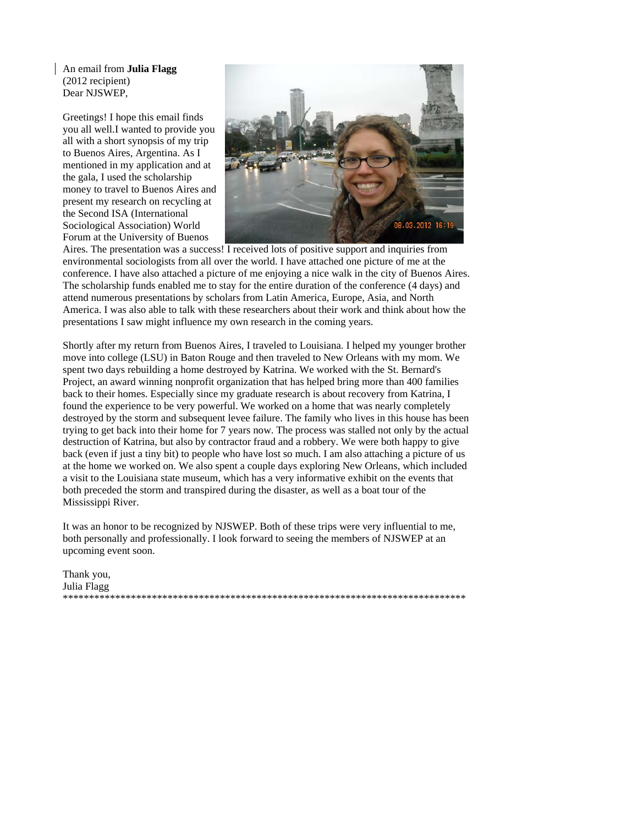An email from **Julia Flagg** (2012 recipient) Dear NJSWEP,

Greetings! I hope this email finds you all well.I wanted to provide you all with a short synopsis of my trip to Buenos Aires, Argentina. As I mentioned in my application and at the gala, I used the scholarship money to travel to Buenos Aires and present my research on recycling at the Second ISA (International Sociological Association) World Forum at the University of Buenos



Aires. The presentation was a success! I received lots of positive support and inquiries from environmental sociologists from all over the world. I have attached one picture of me at the conference. I have also attached a picture of me enjoying a nice walk in the city of Buenos Aires. The scholarship funds enabled me to stay for the entire duration of the conference (4 days) and attend numerous presentations by scholars from Latin America, Europe, Asia, and North America. I was also able to talk with these researchers about their work and think about how the presentations I saw might influence my own research in the coming years.

Shortly after my return from Buenos Aires, I traveled to Louisiana. I helped my younger brother move into college (LSU) in Baton Rouge and then traveled to New Orleans with my mom. We spent two days rebuilding a home destroyed by Katrina. We worked with the St. Bernard's Project, an award winning nonprofit organization that has helped bring more than 400 families back to their homes. Especially since my graduate research is about recovery from Katrina, I found the experience to be very powerful. We worked on a home that was nearly completely destroyed by the storm and subsequent levee failure. The family who lives in this house has been trying to get back into their home for 7 years now. The process was stalled not only by the actual destruction of Katrina, but also by contractor fraud and a robbery. We were both happy to give back (even if just a tiny bit) to people who have lost so much. I am also attaching a picture of us at the home we worked on. We also spent a couple days exploring New Orleans, which included a visit to the Louisiana state museum, which has a very informative exhibit on the events that both preceded the storm and transpired during the disaster, as well as a boat tour of the Mississippi River.

It was an honor to be recognized by NJSWEP. Both of these trips were very influential to me, both personally and professionally. I look forward to seeing the members of NJSWEP at an upcoming event soon.

Thank you, Julia Flagg \*\*\*\*\*\*\*\*\*\*\*\*\*\*\*\*\*\*\*\*\*\*\*\*\*\*\*\*\*\*\*\*\*\*\*\*\*\*\*\*\*\*\*\*\*\*\*\*\*\*\*\*\*\*\*\*\*\*\*\*\*\*\*\*\*\*\*\*\*\*\*\*\*\*\*\*\*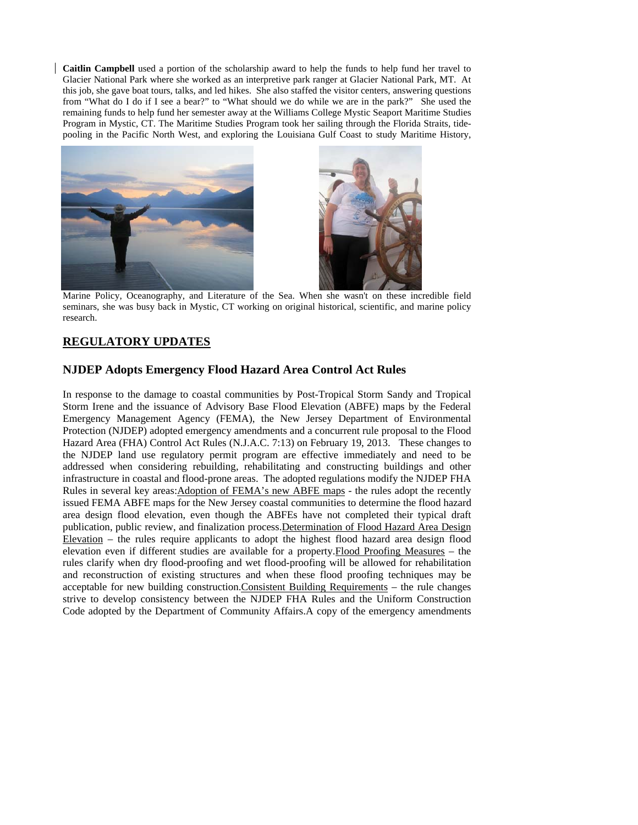**Caitlin Campbell** used a portion of the scholarship award to help the funds to help fund her travel to Glacier National Park where she worked as an interpretive park ranger at Glacier National Park, MT. At this job, she gave boat tours, talks, and led hikes. She also staffed the visitor centers, answering questions from "What do I do if I see a bear?" to "What should we do while we are in the park?" She used the remaining funds to help fund her semester away at the Williams College Mystic Seaport Maritime Studies Program in Mystic, CT. The Maritime Studies Program took her sailing through the Florida Straits, tidepooling in the Pacific North West, and exploring the Louisiana Gulf Coast to study Maritime History,



Marine Policy, Oceanography, and Literature of the Sea. When she wasn't on these incredible field seminars, she was busy back in Mystic, CT working on original historical, scientific, and marine policy research.

# **REGULATORY UPDATES**

# **NJDEP Adopts Emergency Flood Hazard Area Control Act Rules**

In response to the damage to coastal communities by Post-Tropical Storm Sandy and Tropical Storm Irene and the issuance of Advisory Base Flood Elevation (ABFE) maps by the Federal Emergency Management Agency (FEMA), the New Jersey Department of Environmental Protection (NJDEP) adopted emergency amendments and a concurrent rule proposal to the Flood Hazard Area (FHA) Control Act Rules (N.J.A.C. 7:13) on February 19, 2013. These changes to the NJDEP land use regulatory permit program are effective immediately and need to be addressed when considering rebuilding, rehabilitating and constructing buildings and other infrastructure in coastal and flood-prone areas. The adopted regulations modify the NJDEP FHA Rules in several key areas: Adoption of FEMA's new ABFE maps - the rules adopt the recently issued FEMA ABFE maps for the New Jersey coastal communities to determine the flood hazard area design flood elevation, even though the ABFEs have not completed their typical draft publication, public review, and finalization process. Determination of Flood Hazard Area Design Elevation – the rules require applicants to adopt the highest flood hazard area design flood elevation even if different studies are available for a property.Flood Proofing Measures – the rules clarify when dry flood-proofing and wet flood-proofing will be allowed for rehabilitation and reconstruction of existing structures and when these flood proofing techniques may be acceptable for new building construction.Consistent Building Requirements – the rule changes strive to develop consistency between the NJDEP FHA Rules and the Uniform Construction Code adopted by the Department of Community Affairs.A copy of the emergency amendments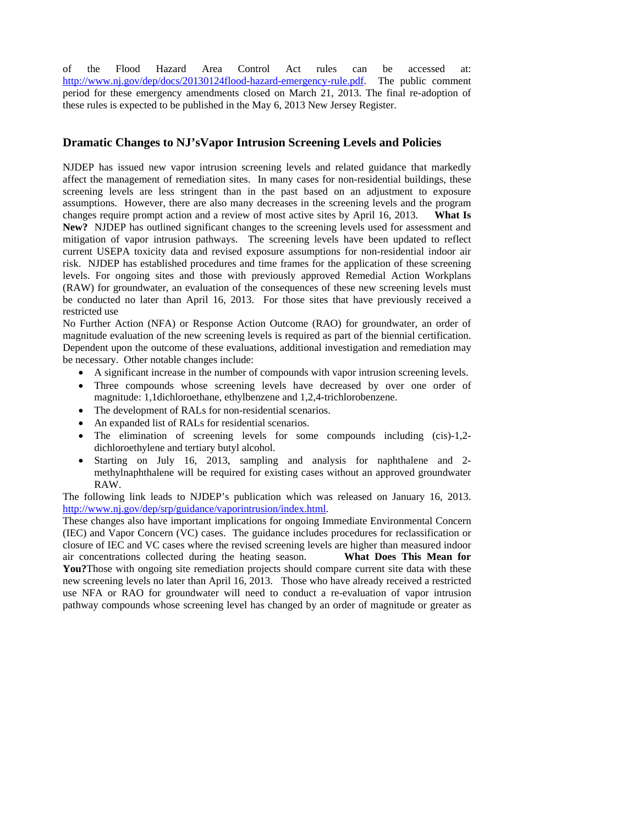of the Flood Hazard Area Control Act rules can be accessed at: http://www.nj.gov/dep/docs/20130124flood-hazard-emergency-rule.pdf. The public comment period for these emergency amendments closed on March 21, 2013. The final re-adoption of these rules is expected to be published in the May 6, 2013 New Jersey Register.

## **Dramatic Changes to NJ'sVapor Intrusion Screening Levels and Policies**

NJDEP has issued new vapor intrusion screening levels and related guidance that markedly affect the management of remediation sites. In many cases for non-residential buildings, these screening levels are less stringent than in the past based on an adjustment to exposure assumptions. However, there are also many decreases in the screening levels and the program changes require prompt action and a review of most active sites by April 16, 2013. **What Is New?** NJDEP has outlined significant changes to the screening levels used for assessment and mitigation of vapor intrusion pathways. The screening levels have been updated to reflect current USEPA toxicity data and revised exposure assumptions for non-residential indoor air risk. NJDEP has established procedures and time frames for the application of these screening levels. For ongoing sites and those with previously approved Remedial Action Workplans (RAW) for groundwater, an evaluation of the consequences of these new screening levels must be conducted no later than April 16, 2013. For those sites that have previously received a restricted use

No Further Action (NFA) or Response Action Outcome (RAO) for groundwater, an order of magnitude evaluation of the new screening levels is required as part of the biennial certification. Dependent upon the outcome of these evaluations, additional investigation and remediation may be necessary. Other notable changes include:

- A significant increase in the number of compounds with vapor intrusion screening levels.
- Three compounds whose screening levels have decreased by over one order of magnitude: 1,1dichloroethane, ethylbenzene and 1,2,4-trichlorobenzene.
- The development of RALs for non-residential scenarios.
- An expanded list of RALs for residential scenarios.
- The elimination of screening levels for some compounds including (cis)-1,2dichloroethylene and tertiary butyl alcohol.
- Starting on July 16, 2013, sampling and analysis for naphthalene and 2 methylnaphthalene will be required for existing cases without an approved groundwater RAW.

The following link leads to NJDEP's publication which was released on January 16, 2013. http://www.nj.gov/dep/srp/guidance/vaporintrusion/index.html.

These changes also have important implications for ongoing Immediate Environmental Concern (IEC) and Vapor Concern (VC) cases. The guidance includes procedures for reclassification or closure of IEC and VC cases where the revised screening levels are higher than measured indoor air concentrations collected during the heating season. **What Does This Mean for**  You?Those with ongoing site remediation projects should compare current site data with these new screening levels no later than April 16, 2013. Those who have already received a restricted use NFA or RAO for groundwater will need to conduct a re-evaluation of vapor intrusion pathway compounds whose screening level has changed by an order of magnitude or greater as